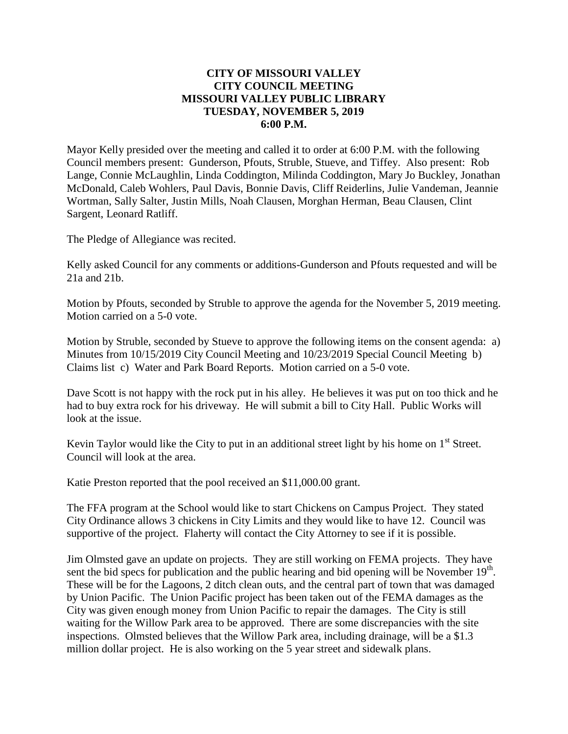#### **CITY OF MISSOURI VALLEY CITY COUNCIL MEETING MISSOURI VALLEY PUBLIC LIBRARY TUESDAY, NOVEMBER 5, 2019 6:00 P.M.**

Mayor Kelly presided over the meeting and called it to order at 6:00 P.M. with the following Council members present: Gunderson, Pfouts, Struble, Stueve, and Tiffey. Also present: Rob Lange, Connie McLaughlin, Linda Coddington, Milinda Coddington, Mary Jo Buckley, Jonathan McDonald, Caleb Wohlers, Paul Davis, Bonnie Davis, Cliff Reiderlins, Julie Vandeman, Jeannie Wortman, Sally Salter, Justin Mills, Noah Clausen, Morghan Herman, Beau Clausen, Clint Sargent, Leonard Ratliff.

The Pledge of Allegiance was recited.

Kelly asked Council for any comments or additions-Gunderson and Pfouts requested and will be 21a and 21b.

Motion by Pfouts, seconded by Struble to approve the agenda for the November 5, 2019 meeting. Motion carried on a 5-0 vote.

Motion by Struble, seconded by Stueve to approve the following items on the consent agenda: a) Minutes from 10/15/2019 City Council Meeting and 10/23/2019 Special Council Meeting b) Claims list c) Water and Park Board Reports. Motion carried on a 5-0 vote.

Dave Scott is not happy with the rock put in his alley. He believes it was put on too thick and he had to buy extra rock for his driveway. He will submit a bill to City Hall. Public Works will look at the issue.

Kevin Taylor would like the City to put in an additional street light by his home on  $1<sup>st</sup>$  Street. Council will look at the area.

Katie Preston reported that the pool received an \$11,000.00 grant.

The FFA program at the School would like to start Chickens on Campus Project. They stated City Ordinance allows 3 chickens in City Limits and they would like to have 12. Council was supportive of the project. Flaherty will contact the City Attorney to see if it is possible.

Jim Olmsted gave an update on projects. They are still working on FEMA projects. They have sent the bid specs for publication and the public hearing and bid opening will be November  $19<sup>th</sup>$ . These will be for the Lagoons, 2 ditch clean outs, and the central part of town that was damaged by Union Pacific. The Union Pacific project has been taken out of the FEMA damages as the City was given enough money from Union Pacific to repair the damages. The City is still waiting for the Willow Park area to be approved. There are some discrepancies with the site inspections. Olmsted believes that the Willow Park area, including drainage, will be a \$1.3 million dollar project. He is also working on the 5 year street and sidewalk plans.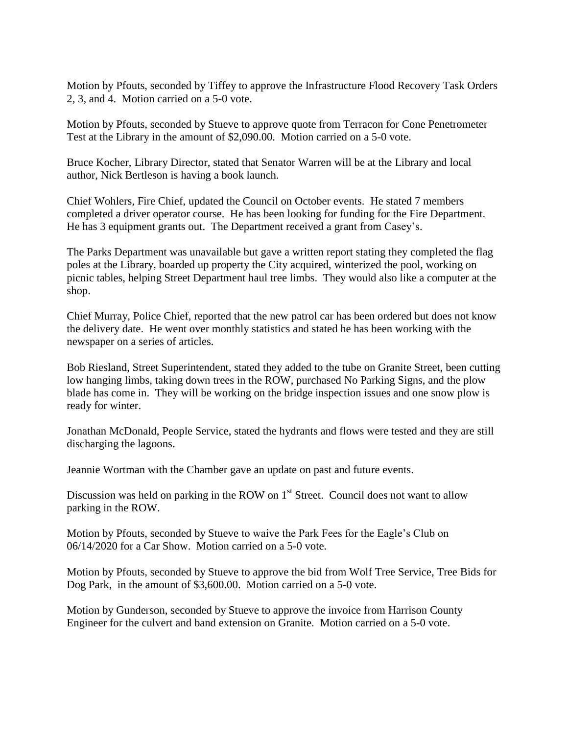Motion by Pfouts, seconded by Tiffey to approve the Infrastructure Flood Recovery Task Orders 2, 3, and 4. Motion carried on a 5-0 vote.

Motion by Pfouts, seconded by Stueve to approve quote from Terracon for Cone Penetrometer Test at the Library in the amount of \$2,090.00. Motion carried on a 5-0 vote.

Bruce Kocher, Library Director, stated that Senator Warren will be at the Library and local author, Nick Bertleson is having a book launch.

Chief Wohlers, Fire Chief, updated the Council on October events. He stated 7 members completed a driver operator course. He has been looking for funding for the Fire Department. He has 3 equipment grants out. The Department received a grant from Casey's.

The Parks Department was unavailable but gave a written report stating they completed the flag poles at the Library, boarded up property the City acquired, winterized the pool, working on picnic tables, helping Street Department haul tree limbs. They would also like a computer at the shop.

Chief Murray, Police Chief, reported that the new patrol car has been ordered but does not know the delivery date. He went over monthly statistics and stated he has been working with the newspaper on a series of articles.

Bob Riesland, Street Superintendent, stated they added to the tube on Granite Street, been cutting low hanging limbs, taking down trees in the ROW, purchased No Parking Signs, and the plow blade has come in. They will be working on the bridge inspection issues and one snow plow is ready for winter.

Jonathan McDonald, People Service, stated the hydrants and flows were tested and they are still discharging the lagoons.

Jeannie Wortman with the Chamber gave an update on past and future events.

Discussion was held on parking in the ROW on  $1<sup>st</sup>$  Street. Council does not want to allow parking in the ROW.

Motion by Pfouts, seconded by Stueve to waive the Park Fees for the Eagle's Club on 06/14/2020 for a Car Show. Motion carried on a 5-0 vote.

Motion by Pfouts, seconded by Stueve to approve the bid from Wolf Tree Service, Tree Bids for Dog Park, in the amount of \$3,600.00. Motion carried on a 5-0 vote.

Motion by Gunderson, seconded by Stueve to approve the invoice from Harrison County Engineer for the culvert and band extension on Granite. Motion carried on a 5-0 vote.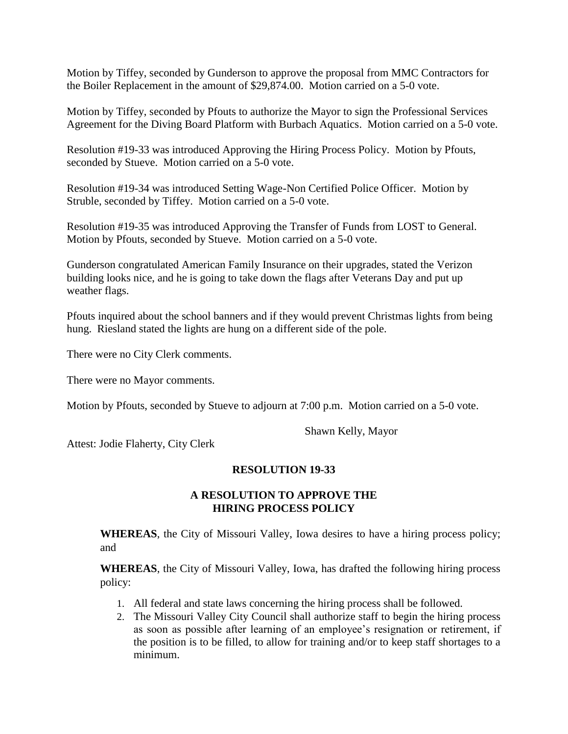Motion by Tiffey, seconded by Gunderson to approve the proposal from MMC Contractors for the Boiler Replacement in the amount of \$29,874.00. Motion carried on a 5-0 vote.

Motion by Tiffey, seconded by Pfouts to authorize the Mayor to sign the Professional Services Agreement for the Diving Board Platform with Burbach Aquatics. Motion carried on a 5-0 vote.

Resolution #19-33 was introduced Approving the Hiring Process Policy. Motion by Pfouts, seconded by Stueve. Motion carried on a 5-0 vote.

Resolution #19-34 was introduced Setting Wage-Non Certified Police Officer. Motion by Struble, seconded by Tiffey. Motion carried on a 5-0 vote.

Resolution #19-35 was introduced Approving the Transfer of Funds from LOST to General. Motion by Pfouts, seconded by Stueve. Motion carried on a 5-0 vote.

Gunderson congratulated American Family Insurance on their upgrades, stated the Verizon building looks nice, and he is going to take down the flags after Veterans Day and put up weather flags.

Pfouts inquired about the school banners and if they would prevent Christmas lights from being hung. Riesland stated the lights are hung on a different side of the pole.

There were no City Clerk comments.

There were no Mayor comments.

Motion by Pfouts, seconded by Stueve to adjourn at 7:00 p.m. Motion carried on a 5-0 vote.

Shawn Kelly, Mayor

Attest: Jodie Flaherty, City Clerk

### **RESOLUTION 19-33**

#### **A RESOLUTION TO APPROVE THE HIRING PROCESS POLICY**

**WHEREAS**, the City of Missouri Valley, Iowa desires to have a hiring process policy; and

**WHEREAS**, the City of Missouri Valley, Iowa, has drafted the following hiring process policy:

- 1. All federal and state laws concerning the hiring process shall be followed.
- 2. The Missouri Valley City Council shall authorize staff to begin the hiring process as soon as possible after learning of an employee's resignation or retirement, if the position is to be filled, to allow for training and/or to keep staff shortages to a minimum.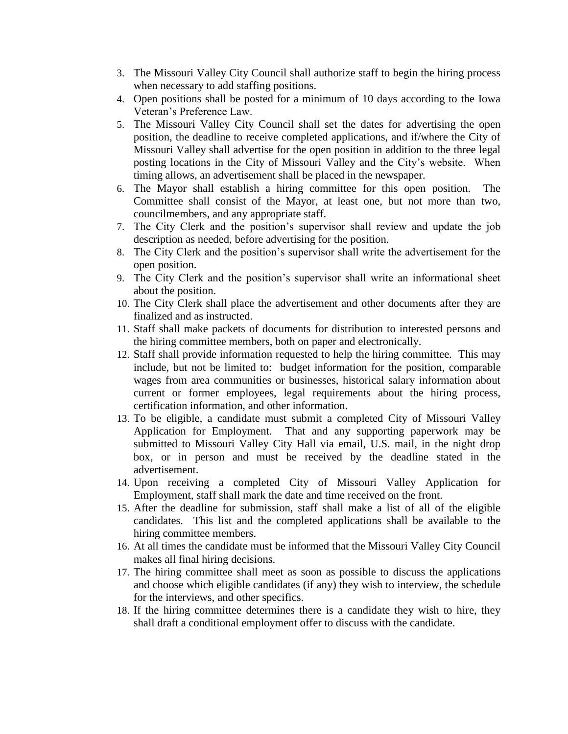- 3. The Missouri Valley City Council shall authorize staff to begin the hiring process when necessary to add staffing positions.
- 4. Open positions shall be posted for a minimum of 10 days according to the Iowa Veteran's Preference Law.
- 5. The Missouri Valley City Council shall set the dates for advertising the open position, the deadline to receive completed applications, and if/where the City of Missouri Valley shall advertise for the open position in addition to the three legal posting locations in the City of Missouri Valley and the City's website. When timing allows, an advertisement shall be placed in the newspaper.
- 6. The Mayor shall establish a hiring committee for this open position. The Committee shall consist of the Mayor, at least one, but not more than two, councilmembers, and any appropriate staff.
- 7. The City Clerk and the position's supervisor shall review and update the job description as needed, before advertising for the position.
- 8. The City Clerk and the position's supervisor shall write the advertisement for the open position.
- 9. The City Clerk and the position's supervisor shall write an informational sheet about the position.
- 10. The City Clerk shall place the advertisement and other documents after they are finalized and as instructed.
- 11. Staff shall make packets of documents for distribution to interested persons and the hiring committee members, both on paper and electronically.
- 12. Staff shall provide information requested to help the hiring committee. This may include, but not be limited to: budget information for the position, comparable wages from area communities or businesses, historical salary information about current or former employees, legal requirements about the hiring process, certification information, and other information.
- 13. To be eligible, a candidate must submit a completed City of Missouri Valley Application for Employment. That and any supporting paperwork may be submitted to Missouri Valley City Hall via email, U.S. mail, in the night drop box, or in person and must be received by the deadline stated in the advertisement.
- 14. Upon receiving a completed City of Missouri Valley Application for Employment, staff shall mark the date and time received on the front.
- 15. After the deadline for submission, staff shall make a list of all of the eligible candidates. This list and the completed applications shall be available to the hiring committee members.
- 16. At all times the candidate must be informed that the Missouri Valley City Council makes all final hiring decisions.
- 17. The hiring committee shall meet as soon as possible to discuss the applications and choose which eligible candidates (if any) they wish to interview, the schedule for the interviews, and other specifics.
- 18. If the hiring committee determines there is a candidate they wish to hire, they shall draft a conditional employment offer to discuss with the candidate.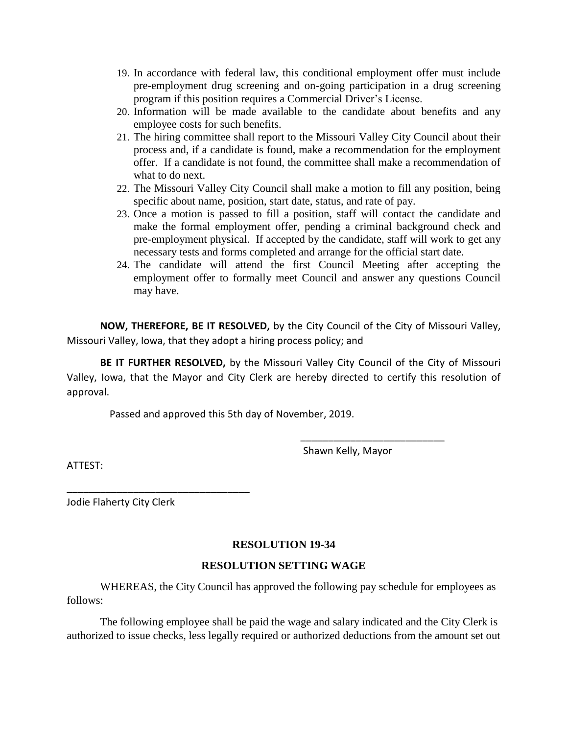- 19. In accordance with federal law, this conditional employment offer must include pre-employment drug screening and on-going participation in a drug screening program if this position requires a Commercial Driver's License.
- 20. Information will be made available to the candidate about benefits and any employee costs for such benefits.
- 21. The hiring committee shall report to the Missouri Valley City Council about their process and, if a candidate is found, make a recommendation for the employment offer. If a candidate is not found, the committee shall make a recommendation of what to do next.
- 22. The Missouri Valley City Council shall make a motion to fill any position, being specific about name, position, start date, status, and rate of pay.
- 23. Once a motion is passed to fill a position, staff will contact the candidate and make the formal employment offer, pending a criminal background check and pre-employment physical. If accepted by the candidate, staff will work to get any necessary tests and forms completed and arrange for the official start date.
- 24. The candidate will attend the first Council Meeting after accepting the employment offer to formally meet Council and answer any questions Council may have.

**NOW, THEREFORE, BE IT RESOLVED,** by the City Council of the City of Missouri Valley, Missouri Valley, Iowa, that they adopt a hiring process policy; and

**BE IT FURTHER RESOLVED,** by the Missouri Valley City Council of the City of Missouri Valley, Iowa, that the Mayor and City Clerk are hereby directed to certify this resolution of approval.

Passed and approved this 5th day of November, 2019.

Shawn Kelly, Mayor

\_\_\_\_\_\_\_\_\_\_\_\_\_\_\_\_\_\_\_\_\_\_\_\_\_\_

ATTEST:

Jodie Flaherty City Clerk

\_\_\_\_\_\_\_\_\_\_\_\_\_\_\_\_\_\_\_\_\_\_\_\_\_\_\_\_\_\_\_\_\_

### **RESOLUTION 19-34**

### **RESOLUTION SETTING WAGE**

WHEREAS, the City Council has approved the following pay schedule for employees as follows:

The following employee shall be paid the wage and salary indicated and the City Clerk is authorized to issue checks, less legally required or authorized deductions from the amount set out